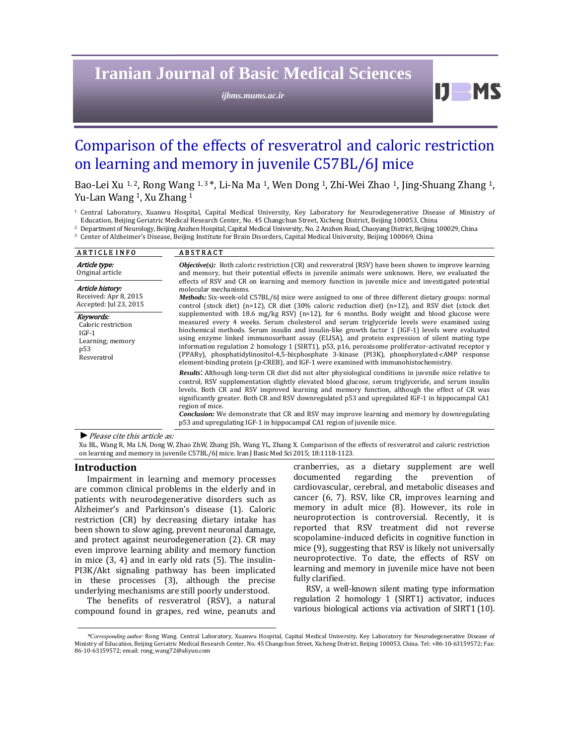# **Iranian Journal of Basic Medical Sciences**

*ijbms.mums.ac.ir*

 $IJ$  MS

# Comparison of the effects of resveratrol and caloric restriction on learning and memory in juvenile C57BL/6J mice

Bao-Lei Xu <sup>1, 2</sup>, Rong Wang <sup>1, 3</sup>\*, Li-Na Ma<sup>1</sup>, Wen Dong <sup>1</sup>, Zhi-Wei Zhao <sup>1</sup>, Jing-Shuang Zhang <sup>1</sup>, Yu-Lan Wang<sup>1</sup>, Xu Zhang<sup>1</sup>

<sup>1</sup> Central Laboratory, Xuanwu Hospital, Capital Medical University, Key Laboratory for Neurodegenerative Disease of Ministry of Education, Beijing Geriatric Medical Research Center, No. 45 Changchun Street, Xicheng District, Beijing 100053, China

<sup>2</sup> Department of Neurology, Beijing Anzhen Hospital, Capital Medical University, No. 2 Anzhen Road, Chaoyang District, Beijing 100029, China

 $3$  Center of Alzheimer's Disease, Beijing Institute for Brain Disorders, Capital Medical University, Beijing 100069, China

| <b>ARTICLE INFO</b>                                                                   | <b>ABSTRACT</b>                                                                                                                                                                                                                                                                                                                                                                                                                                                                                                                                                                                                                                                                                           |
|---------------------------------------------------------------------------------------|-----------------------------------------------------------------------------------------------------------------------------------------------------------------------------------------------------------------------------------------------------------------------------------------------------------------------------------------------------------------------------------------------------------------------------------------------------------------------------------------------------------------------------------------------------------------------------------------------------------------------------------------------------------------------------------------------------------|
| Article type:<br>Original article                                                     | <i>Objective(s):</i> Both caloric restriction $(CR)$ and resveratrol $(RSV)$ have been shown to improve learning<br>and memory, but their potential effects in juvenile animals were unknown. Here, we evaluated the<br>effects of RSV and CR on learning and memory function in juvenile mice and investigated potential<br>molecular mechanisms.<br>Methods: Six-week-old C57BL/6] mice were assigned to one of three different dietary groups: normal<br>control (stock diet) $(n=12)$ , CR diet (30% caloric reduction diet) $(n=12)$ , and RSV diet (stock diet                                                                                                                                      |
| Article history:<br>Received: Apr 8, 2015<br>Accepted: Jul 23, 2015                   |                                                                                                                                                                                                                                                                                                                                                                                                                                                                                                                                                                                                                                                                                                           |
| Keywords:<br>Caloric restriction<br>$IGF-1$<br>Learning; memory<br>p53<br>Resveratrol | supplemented with 18.6 mg/kg RSV) ( $n=12$ ), for 6 months. Body weight and blood glucose were<br>measured every 4 weeks. Serum cholesterol and serum triglyceride levels were examined using<br>biochemical methods. Serum insulin and insulin-like growth factor 1 (IGF-1) levels were evaluated<br>using enzyme linked immunosorbant assay (ELISA), and protein expression of silent mating type<br>information regulation 2 homology 1 (SIRT1), p53, p16, peroxisome proliferator-activated receptor $\gamma$<br>(PPARy), phosphatidylinositol-4,5-bisphosphate 3-kinase (PI3K), phosphorylated-cAMP response<br>element-binding protein (p-CREB), and IGF-1 were examined with immunohistochemistry. |
|                                                                                       | <b>Results:</b> Although long-term CR diet did not alter physiological conditions in juvenile mice relative to<br>control, RSV supplementation slightly elevated blood glucose, serum triglyceride, and serum insulin<br>levels. Both CR and RSV improved learning and memory function, although the effect of CR was<br>significantly greater. Both CR and RSV downregulated p53 and upregulated IGF-1 in hippocampal CA1<br>region of mice.<br><b>Conclusion:</b> We demonstrate that CR and RSV may improve learning and memory by downregulating<br>p53 and upregulating IGF-1 in hippocampal CA1 region of juvenile mice.                                                                            |

▶ *Please cite this article as:* 

Xu BL, Wang R, Ma LN, Dong W, Zhao ZhW, Zhang JSh, Wang YL, Zhang X. Comparison of the effects of resveratrol and caloric restriction on learning and memory in juvenile C57BL/6J mice. Iran J Basic Med Sci 2015; 18:1118-1123.

#### **Introduction**

Impairment in learning and memory processes are common clinical problems in the elderly and in patients with neurodegenerative disorders such as Alzheimer's and Parkinson's disease (1). Caloric restriction (CR) by decreasing dietary intake has been shown to slow aging, prevent neuronal damage, and protect against neurodegeneration (2). CR may even improve learning ability and memory function in mice  $(3, 4)$  and in early old rats  $(5)$ . The insulin-PI3K/Akt signaling pathway has been implicated in these processes (3), although the precise underlying mechanisms are still poorly understood.

The benefits of resveratrol (RSV), a natural compound found in grapes, red wine, peanuts and cranberries, as a dietary supplement are well documented regarding the prevention of cardiovascular, cerebral, and metabolic diseases and cancer  $(6, 7)$ . RSV, like CR, improves learning and memory in adult mice (8). However, its role in neuroprotection is controversial. Recently, it is reported that RSV treatment did not reverse scopolamine-induced deficits in cognitive function in mice (9), suggesting that RSV is likely not universally neuroprotective. To date, the effects of RSV on learning and memory in juvenile mice have not been fully clarified.

RSV, a well-known silent mating type information regulation 2 homology 1 (SIRT1) activator, induces various biological actions via activation of SIRT1 (10).

*<sup>\*</sup>Corresponding author:* Rong Wang. Central Laboratory, Xuanwu Hospital, Capital Medical University, Key Laboratory for Neurodegenerative Disease of Ministry of Education, Beijing Geriatric Medical Research Center, No. 45 Changchun Street, Xicheng District, Beijing 100053, China. Tel: +86-10-63159572; Fax: 86-10-63159572; email: rong\_wang72@aliyun.com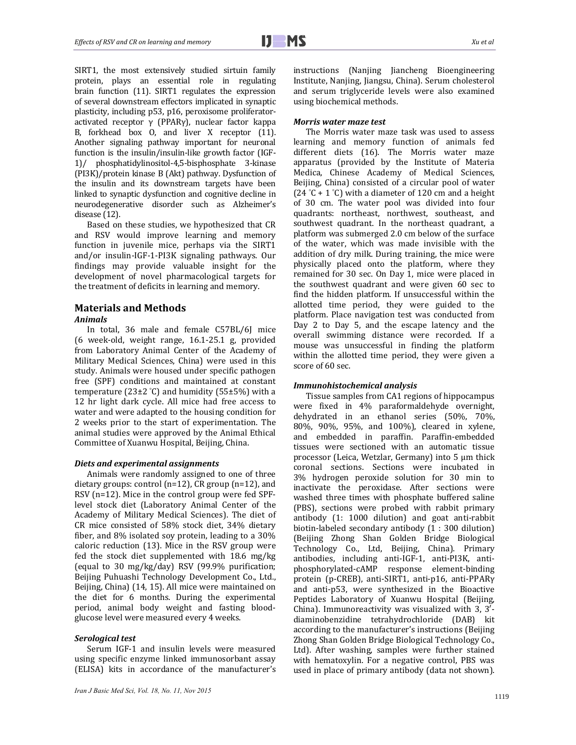SIRT1, the most extensively studied sirtuin family protein, plays an essential role in regulating brain function  $(11)$ . SIRT1 regulates the expression of several downstream effectors implicated in synaptic plasticity, including p53, p16, peroxisome proliferatoractivated receptor  $\gamma$  (PPAR $\gamma$ ), nuclear factor kappa B, forkhead box O, and liver X receptor (11). Another signaling pathway important for neuronal function is the insulin/insulin-like growth factor (IGF-1)/ phosphatidylinositol-4,5-bisphosphate 3-kinase  $(PI3K)/$ protein kinase B  $(Akt)$  pathway. Dysfunction of the insulin and its downstream targets have been linked to synaptic dysfunction and cognitive decline in neurodegenerative disorder such as Alzheimer's disease (12).

Based on these studies, we hypothesized that CR and RSV would improve learning and memory function in juvenile mice, perhaps via the SIRT1 and/or insulin-IGF-1-PI3K signaling pathways. Our findings may provide valuable insight for the development of novel pharmacological targets for the treatment of deficits in learning and memory.

## **Materials and Methods**  *Animals*

In total, 36 male and female C57BL/6J mice (6 week‐old, weight range, 16.1‐25.1 g, provided from Laboratory Animal Center of the Academy of Military Medical Sciences, China) were used in this study. Animals were housed under specific pathogen free (SPF) conditions and maintained at constant temperature  $(23\pm2~\textdegree C)$  and humidity  $(55\pm5\%)$  with a 12 hr light dark cycle. All mice had free access to water and were adapted to the housing condition for 2 weeks prior to the start of experimentation. The animal studies were approved by the Animal Ethical Committee of Xuanwu Hospital, Beijing, China.

## *Diets and experimental assignments*

Animals were randomly assigned to one of three dietary groups: control  $(n=12)$ , CR group  $(n=12)$ , and RSV  $(n=12)$ . Mice in the control group were fed SPFlevel stock diet (Laboratory Animal Center of the Academy of Military Medical Sciences). The diet of CR mice consisted of 58% stock diet, 34% dietary fiber, and  $8\%$  isolated soy protein, leading to a  $30\%$ caloric reduction  $(13)$ . Mice in the RSV group were fed the stock diet supplemented with  $18.6$  mg/kg (equal to  $30 \text{ mg/kg/day}$ ) RSV (99.9% purification; Beijing Puhuashi Technology Development Co., Ltd., Beijing, China) (14, 15). All mice were maintained on the diet for 6 months. During the experimental period, animal body weight and fasting bloodglucose level were measured every 4 weeks.

#### *Serological test*

Serum IGF-1 and insulin levels were measured using specific enzyme linked immunosorbant assay (ELISA) kits in accordance of the manufacturer's  instructions (Nanjing Jiancheng Bioengineering Institute, Nanjing, Jiangsu, China). Serum cholesterol and serum triglyceride levels were also examined using biochemical methods.

#### *Morris water maze test*

The Morris water maze task was used to assess learning and memory function of animals fed different diets (16). The Morris water maze apparatus (provided by the Institute of Materia Medica, Chinese Academy of Medical Sciences, Beijing, China) consisted of a circular pool of water  $(24 \degree C + 1 \degree C)$  with a diameter of 120 cm and a height of 30 cm. The water pool was divided into four quadrants: northeast, northwest, southeast, and southwest quadrant. In the northeast quadrant, a platform was submerged 2.0 cm below of the surface of the water, which was made invisible with the addition of dry milk. During training, the mice were physically placed onto the platform, where they remained for 30 sec. On Day 1, mice were placed in the southwest quadrant and were given 60 sec to find the hidden platform. If unsuccessful within the allotted time period, they were guided to the platform. Place navigation test was conducted from Day 2 to Day 5, and the escape latency and the overall swimming distance were recorded. If a mouse was unsuccessful in finding the platform within the allotted time period, they were given a score of 60 sec.

#### *Immunohistochemical analysis*

Tissue samples from CA1 regions of hippocampus were fixed in 4% paraformaldehyde overnight, dehydrated in an ethanol series (50%, 70%, 80%, 90%, 95%, and 100%), cleared in xylene, and embedded in paraffin. Paraffin-embedded tissues were sectioned with an automatic tissue processor (Leica, Wetzlar, Germany) into  $5 \mu m$  thick coronal sections. Sections were incubated in 3% hydrogen peroxide solution for 30 min to inactivate the peroxidase. After sections were washed three times with phosphate buffered saline (PBS), sections were probed with rabbit primary antibody (1: 1000 dilution) and goat anti-rabbit biotin-labeled secondary antibody  $(1:300$  dilution) (Beijing Zhong Shan Golden Bridge Biological Technology Co., Ltd, Beijing, China). Primary antibodies, including anti-IGF-1, anti-PI3K, antiphosphorylated-cAMP response element-binding protein (p‐CREB), anti‐SIRT1, anti‐p16, anti‐PPARγ and anti-p53, were synthesized in the Bioactive Peptides Laboratory of Xuanwu Hospital (Beijing, China). Immunoreactivity was visualized with 3, 3'diaminobenzidine tetrahydrochloride (DAB) kit according to the manufacturer's instructions (Beijing Zhong Shan Golden Bridge Biological Technology Co., Ltd). After washing, samples were further stained with hematoxylin. For a negative control, PBS was used in place of primary antibody (data not shown).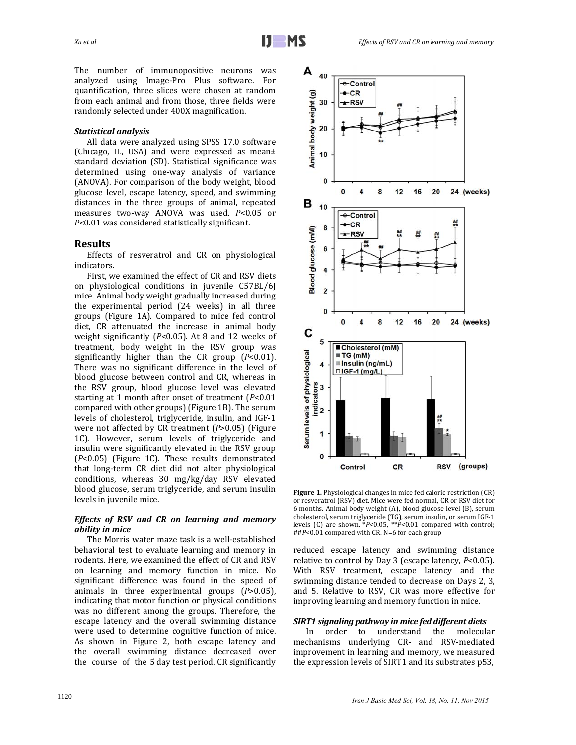The number of immunopositive neurons was analyzed using Image-Pro Plus software. For quantification, three slices were chosen at random from each animal and from those, three fields were randomly selected under 400X magnification.

## *Statistical analysis*

All data were analyzed using SPSS 17.0 software (Chicago, IL, USA) and were expressed as mean $\pm$ standard deviation (SD). Statistical significance was determined using one-way analysis of variance (ANOVA). For comparison of the body weight, blood glucose level, escape latency, speed, and swimming distances in the three groups of animal, repeated measures two-way ANOVA was used. *P<0.05* or *P*<0.01 was considered statistically significant.

# **Results**

Effects of resveratrol and CR on physiological indicators. 

First, we examined the effect of CR and RSV diets on physiological conditions in juvenile C57BL/6J mice. Animal body weight gradually increased during the experimental period (24 weeks) in all three groups (Figure 1A). Compared to mice fed control diet, CR attenuated the increase in animal body weight significantly  $(P<0.05)$ . At 8 and 12 weeks of treatment, body weight in the RSV group was significantly higher than the CR group ( $P$ <0.01). There was no significant difference in the level of blood glucose between control and CR, whereas in the RSV group, blood glucose level was elevated starting at 1 month after onset of treatment  $(P<0.01$ compared with other groups) (Figure 1B). The serum levels of cholesterol, triglyceride, insulin, and IGF-1 were not affected by CR treatment (*P*>0.05) (Figure 1C). However, serum levels of triglyceride and insulin were significantly elevated in the RSV group (*P*<0.05) (Figure 1C). These results demonstrated that long-term CR diet did not alter physiological conditions, whereas 30 mg/kg/day RSV elevated blood glucose, serum triglyceride, and serum insulin levels in juvenile mice.

# *Effects of RSV and CR on learning and memory ability in mice*

The Morris water maze task is a well-established behavioral test to evaluate learning and memory in rodents. Here, we examined the effect of CR and RSV on learning and memory function in mice. No significant difference was found in the speed of animals in three experimental groups (*P*>0.05), indicating that motor function or physical conditions was no different among the groups. Therefore, the escape latency and the overall swimming distance were used to determine cognitive function of mice. As shown in Figure 2, both escape latency and the overall swimming distance decreased over the course of the 5 day test period. CR significantly



**Figure 1.** Physiological changes in mice fed caloric restriction (CR) or resveratrol (RSV) diet. Mice were fed normal, CR or RSV diet for 6 months. Animal body weight (A), blood glucose level (B), serum cholesterol, serum triglyceride (TG), serum insulin, or serum IGF-1 levels  $(C)$  are shown.  $*P<0.05$ ,  $**P<0.01$  compared with control; ##P<0.01 compared with CR. N=6 for each group

reduced escape latency and swimming distance relative to control by Day 3 (escape latency, *P*<0.05). With RSV treatment, escape latency and the swimming distance tended to decrease on Days 2, 3, and 5. Relative to RSV, CR was more effective for improving learning and memory function in mice.

# *SIRT1 signaling pathway in mice fed different diets*

In order to understand the molecular mechanisms underlying CR- and RSV-mediated improvement in learning and memory, we measured the expression levels of SIRT1 and its substrates p53,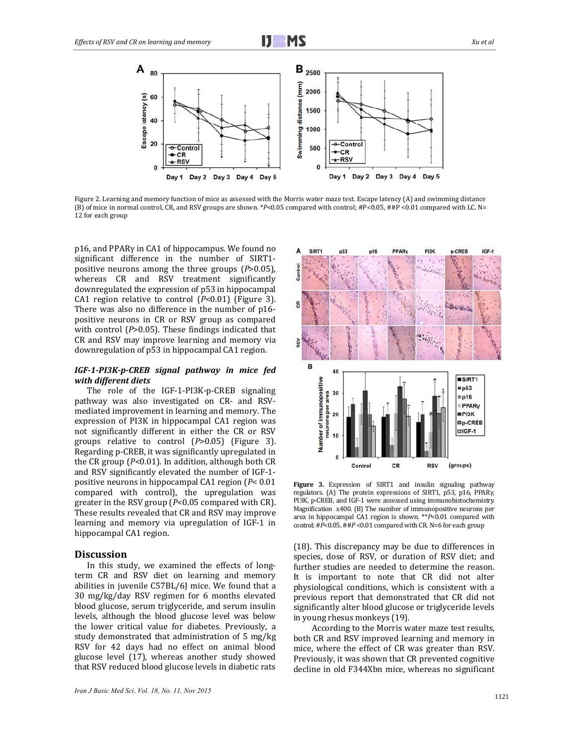

Figure 2. Learning and memory function of mice as assessed with the Morris water maze test. Escape latency  $(A)$  and swimming distance (B) of mice in normal control, CR, and RSV groups are shown. \**P*<0.05 compared with control; #P<0.05, ##P <0.01 compared with LC. N= 12 for each group

p16, and PPARγ in CA1 of hippocampus. We found no significant difference in the number of SIRT1positive neurons among the three groups ( $P$ >0.05), whereas CR and RSV treatment significantly downregulated the expression of p53 in hippocampal CA1 region relative to control  $(P<0.01)$  (Figure 3). There was also no difference in the number of  $p16$ positive neurons in CR or RSV group as compared with control  $(P>0.05)$ . These findings indicated that CR and RSV may improve learning and memory via downregulation of p53 in hippocampal CA1 region.

## *IGF‐1‐PI3K‐p‐CREB signal pathway in mice fed with different diets*

The role of the IGF-1-PI3K-p-CREB signaling pathway was also investigated on CR- and RSVmediated improvement in learning and memory. The expression of PI3K in hippocampal CA1 region was not significantly different in either the CR or RSV groups relative to control (P>0.05) (Figure 3). Regarding p-CREB, it was significantly upregulated in the CR group  $(P<0.01)$ . In addition, although both CR and RSV significantly elevated the number of IGF-1positive neurons in hippocampal CA1 region ( $P$ < 0.01 compared with control), the upregulation was greater in the RSV group ( $P$ <0.05 compared with CR). These results revealed that CR and RSV may improve learning and memory via upregulation of IGF-1 in hippocampal CA1 region.

#### **Discussion**

In this study, we examined the effects of longterm CR and RSV diet on learning and memory abilities in juvenile C57BL/6J mice. We found that a 30 mg/kg/day RSV regimen for 6 months elevated blood glucose, serum triglyceride, and serum insulin levels, although the blood glucose level was below the lower critical value for diabetes. Previously, a study demonstrated that administration of 5 mg/kg RSV for 42 days had no effect on animal blood glucose level (17), whereas another study showed that RSV reduced blood glucose levels in diabetic rats





**Figure** 3. Expression of SIRT1 and insulin signaling pathway regulators. (A) The protein expressions of SIRT1, p53, p16, PPARγ, PI3K, p-CREB, and IGF-1 were assessed using immunohistochemistry. Magnification x400. (B) The number of immunopositive neurons per area in hippocampal CA1 region is shown. \*\**P*<0.01 compared with control; #P<0.05, ##P<0.01 compared with CR. N=6 for each group

(18). This discrepancy may be due to differences in species, dose of RSV, or duration of RSV diet; and further studies are needed to determine the reason. It is important to note that CR did not alter physiological conditions, which is consistent with a previous report that demonstrated that CR did not significantly alter blood glucose or triglyceride levels in young rhesus monkeys (19).

According to the Morris water maze test results, both CR and RSV improved learning and memory in mice, where the effect of CR was greater than RSV. Previously, it was shown that CR prevented cognitive decline in old F344Xbn mice, whereas no significant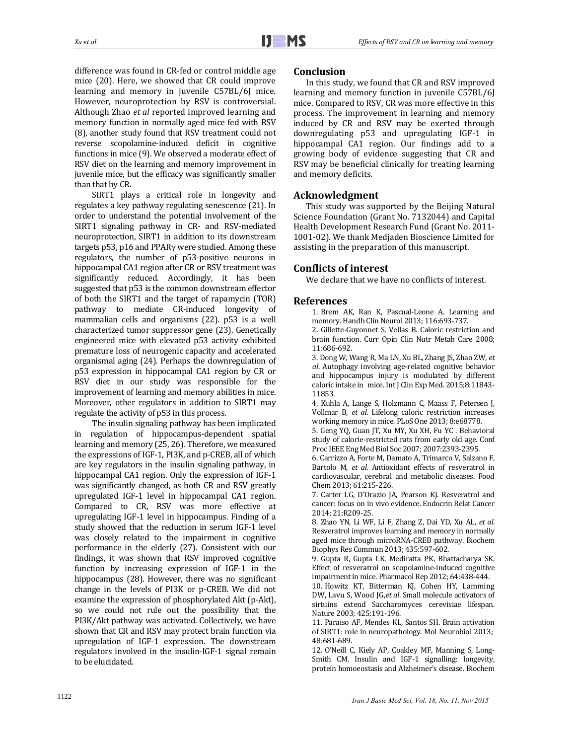difference was found in CR-fed or control middle age mice (20). Here, we showed that CR could improve learning and memory in juvenile C57BL/6J mice. However, neuroprotection by RSV is controversial. Although Zhao *et al* reported improved learning and memory function in normally aged mice fed with RSV (8), another study found that RSV treatment could not reverse scopolamine-induced deficit in cognitive functions in mice (9). We observed a moderate effect of RSV diet on the learning and memory improvement in juvenile mice, but the efficacy was significantly smaller than that by CR.

SIRT1 plays a critical role in longevity and regulates a key pathway regulating senescence (21). In order to understand the potential involvement of the SIRT1 signaling pathway in CR- and RSV-mediated neuroprotection, SIRT1 in addition to its downstream targets p53, p16 and PPARγ were studied. Among these regulators, the number of p53-positive neurons in hippocampal CA1 region after CR or RSV treatment was significantly reduced. Accordingly, it has been suggested that p53 is the common downstream effector of both the SIRT1 and the target of rapamycin (TOR) pathway to mediate CR-induced longevity of mammalian cells and organisms (22). p53 is a well characterized tumor suppressor gene (23). Genetically engineered mice with elevated p53 activity exhibited premature loss of neurogenic capacity and accelerated organismal aging (24). Perhaps the downregulation of p53 expression in hippocampal CA1 region by CR or RSV diet in our study was responsible for the improvement of learning and memory abilities in mice. Moreover, other regulators in addition to SIRT1 may regulate the activity of p53 in this process.

The insulin signaling pathway has been implicated in regulation of hippocampus-dependent spatial learning and memory (25, 26). Therefore, we measured the expressions of IGF-1, PI3K, and p-CREB, all of which are key regulators in the insulin signaling pathway, in hippocampal CA1 region. Only the expression of IGF-1 was significantly changed, as both CR and RSV greatly upregulated IGF-1 level in hippocampal CA1 region. Compared to CR, RSV was more effective at upregulating IGF-1 level in hippocampus. Finding of a study showed that the reduction in serum IGF-1 level was closely related to the impairment in cognitive performance in the elderly (27). Consistent with our findings, it was shown that RSV improved cognitive function by increasing expression of IGF-1 in the hippocampus (28). However, there was no significant change in the levels of PI3K or p-CREB. We did not examine the expression of phosphorylated Akt (p-Akt), so we could not rule out the possibility that the PI3K/Akt pathway was activated. Collectively, we have shown that CR and RSV may protect brain function via upregulation of IGF-1 expression. The downstream regulators involved in the insulin-IGF-1 signal remain to be elucidated.

## **Conclusion**

In this study, we found that CR and RSV improved learning and memory function in juvenile C57BL/6J mice. Compared to RSV, CR was more effective in this process. The improvement in learning and memory induced by CR and RSV may be exerted through downregulating p53 and upregulating IGF-1 in hippocampal CA1 region. Our findings add to a growing body of evidence suggesting that CR and RSV may be beneficial clinically for treating learning and memory deficits.

# **Acknowledgment**

This study was supported by the Beijing Natural Science Foundation (Grant No. 7132044) and Capital Health Development Research Fund (Grant No. 2011-1001-02). We thank Medjaden Bioscience Limited for assisting in the preparation of this manuscript.

# **Conflicts of interest**

We declare that we have no conflicts of interest.

## **References**

1. Brem AK, Ran K, Pascual-Leone A. Learning and memory. Handb Clin Neurol 2013; 116:693-737.

2. Gillette-Guyonnet S, Vellas B. Caloric restriction and brain function. Curr Opin Clin Nutr Metab Care 2008; 11:686‐692. 

3. Dong W, Wang R, Ma LN, Xu BL, Zhang JS, Zhao ZW, et al. Autophagy involving age-related cognitive behavior and hippocampus injury is modulated by different caloric intake in mice. Int J Clin Exp Med. 2015;8:11843-11853. 

4. Kuhla A, Lange S, Holzmann C, Maass F, Petersen J, Vollmar B, *et al.* Lifelong caloric restriction increases working memory in mice. PLoS One 2013; 8:e68778.

5. Geng YQ, Guan JT, Xu MY, Xu XH, Fu YC . Behavioral study of calorie-restricted rats from early old age. Conf Proc IEEE Eng Med Biol Soc 2007; 2007:2393-2395.

6. Carrizzo A, Forte M, Damato A, Trimarco V, Salzano F, Bartolo M, et al. Antioxidant effects of resveratrol in cardiovascular, cerebral and metabolic diseases. Food Chem 2013; 61:215-226.

7. Carter LG, D'Orazio JA, Pearson KJ, Resveratrol and cancer: focus on in vivo evidence. Endocrin Relat Cancer 2014: 21:R209-25.

8. Zhao YN, Li WF, Li F, Zhang Z, Dai YD, Xu AL, et al. Resveratrol improves learning and memory in normally aged mice through microRNA-CREB pathway. Biochem Biophys Res Commun 2013; 435:597-602.

9. Gupta R, Gupta LK, Mediratta PK, Bhattacharya SK. Effect of resveratrol on scopolamine-induced cognitive impairment in mice. Pharmacol Rep 2012; 64:438-444.

10. Howitz KT, Bitterman KJ, Cohen HY, Lamming DW, Lavu S, Wood JG,et al. Small molecule activators of sirtuins extend Saccharomyces cerevisiae lifespan. Nature 2003; 425:191‐196. 

11. Paraiso AF, Mendes KL, Santos SH. Brain activation of SIRT1: role in neuropathology. Mol Neurobiol 2013; 48:681‐689. 

12. O'Neill C, Kiely AP, Coakley MF, Manning S, Long-Smith CM. Insulin and IGF-1 signalling: longevity, protein homoeostasis and Alzheimer's disease. Biochem